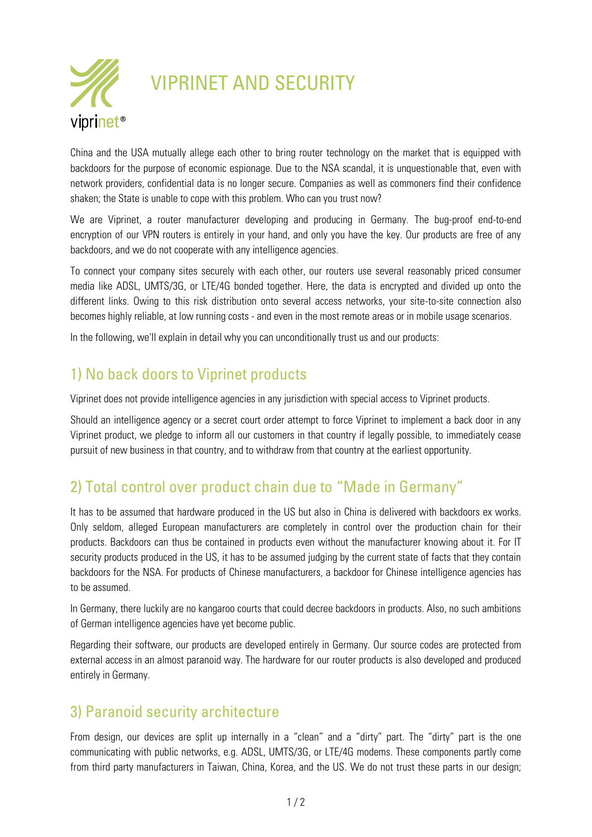

# VIPRINET AND SECURITY

China and the USA mutually allege each other to bring router technology on the market that is equipped with backdoors for the purpose of economic espionage. Due to the NSA scandal, it is unquestionable that, even with network providers, confidential data is no longer secure. Companies as well as commoners find their confidence shaken; the State is unable to cope with this problem. Who can you trust now?

We are Viprinet, a router manufacturer developing and producing in Germany. The bug-proof end-to-end encryption of our VPN routers is entirely in your hand, and only you have the key. Our products are free of any backdoors, and we do not cooperate with any intelligence agencies.

To connect your company sites securely with each other, our routers use several reasonably priced consumer media like ADSL, UMTS/3G, or LTE/4G bonded together. Here, the data is encrypted and divided up onto the different links. Owing to this risk distribution onto several access networks, your site-to-site connection also becomes highly reliable, at low running costs - and even in the most remote areas or in mobile usage scenarios.

In the following, we'll explain in detail why you can unconditionally trust us and our products:

## 1) No back doors to Viprinet products

Viprinet does not provide intelligence agencies in any jurisdiction with special access to Viprinet products.

Should an intelligence agency or a secret court order attempt to force Viprinet to implement a back door in any Viprinet product, we pledge to inform all our customers in that country if legally possible, to immediately cease pursuit of new business in that country, and to withdraw from that country at the earliest opportunity.

## 2) Total control over product chain due to "Made in Germany"

It has to be assumed that hardware produced in the US but also in China is delivered with backdoors ex works. Only seldom, alleged European manufacturers are completely in control over the production chain for their products. Backdoors can thus be contained in products even without the manufacturer knowing about it. For IT security products produced in the US, it has to be assumed judging by the current state of facts that they contain backdoors for the NSA. For products of Chinese manufacturers, a backdoor for Chinese intelligence agencies has to be assumed.

In Germany, there luckily are no kangaroo courts that could decree backdoors in products. Also, no such ambitions of German intelligence agencies have yet become public.

Regarding their software, our products are developed entirely in Germany. Our source codes are protected from external access in an almost paranoid way. The hardware for our router products is also developed and produced entirely in Germany.

#### 3) Paranoid security architecture

From design, our devices are split up internally in a "clean" and a "dirty" part. The "dirty" part is the one communicating with public networks, e.g. ADSL, UMTS/3G, or LTE/4G modems. These components partly come from third party manufacturers in Taiwan, China, Korea, and the US. We do not trust these parts in our design;